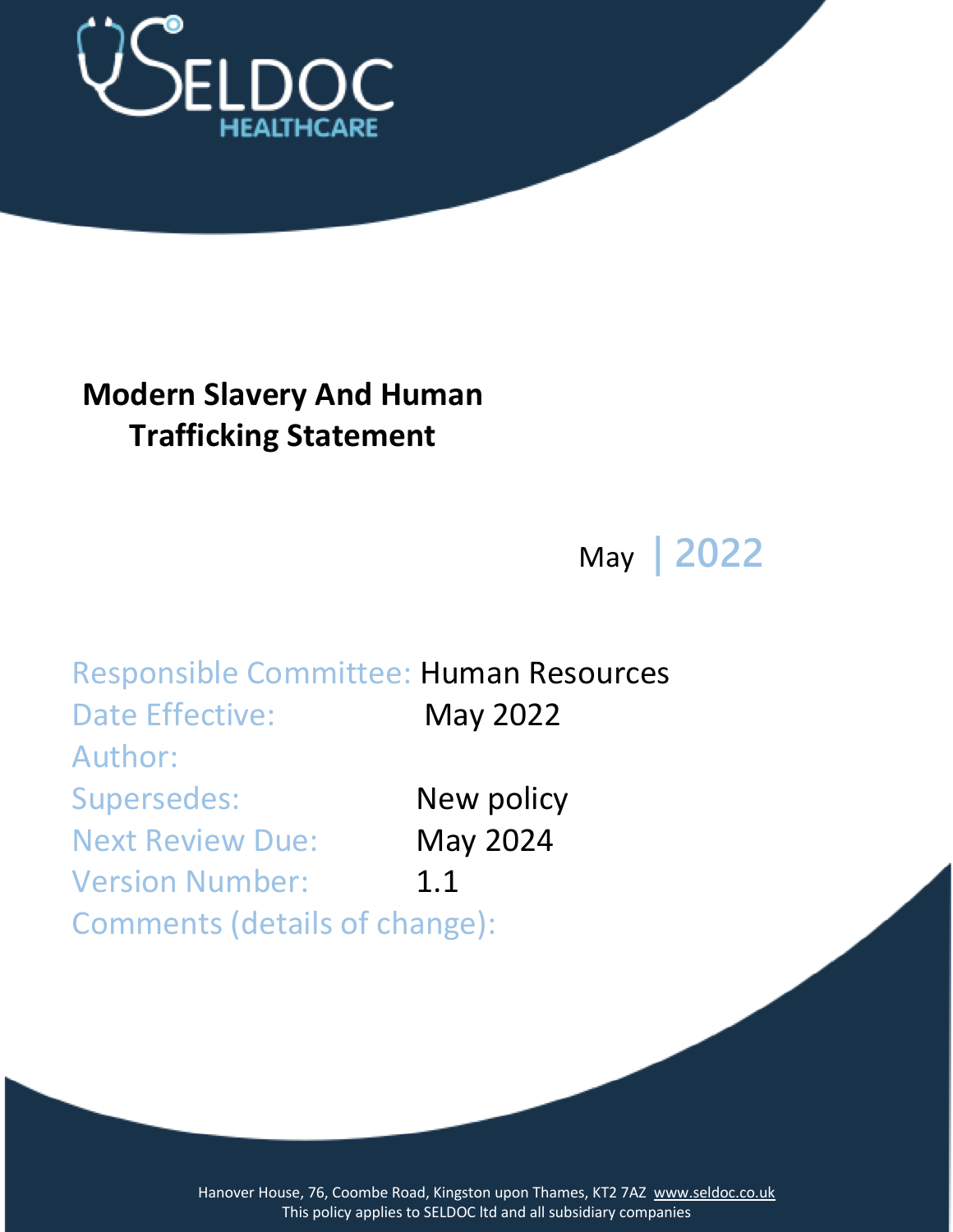

# **Modern Slavery And Human Trafficking Statement**

May **| 2022**

Responsible Committee: Human Resources Date Effective: May 2022 Author: Supersedes: New policy Next Review Due: May 2024 Version Number: 1.1 Comments (details of change):

> Hanover House, 76, Coombe Road, Kingston upon Thames, KT2 7AZ [www.seldoc.co.uk](http://www.seldoc.co.uk/) This policy applies to SELDOC ltd and all subsidiary companies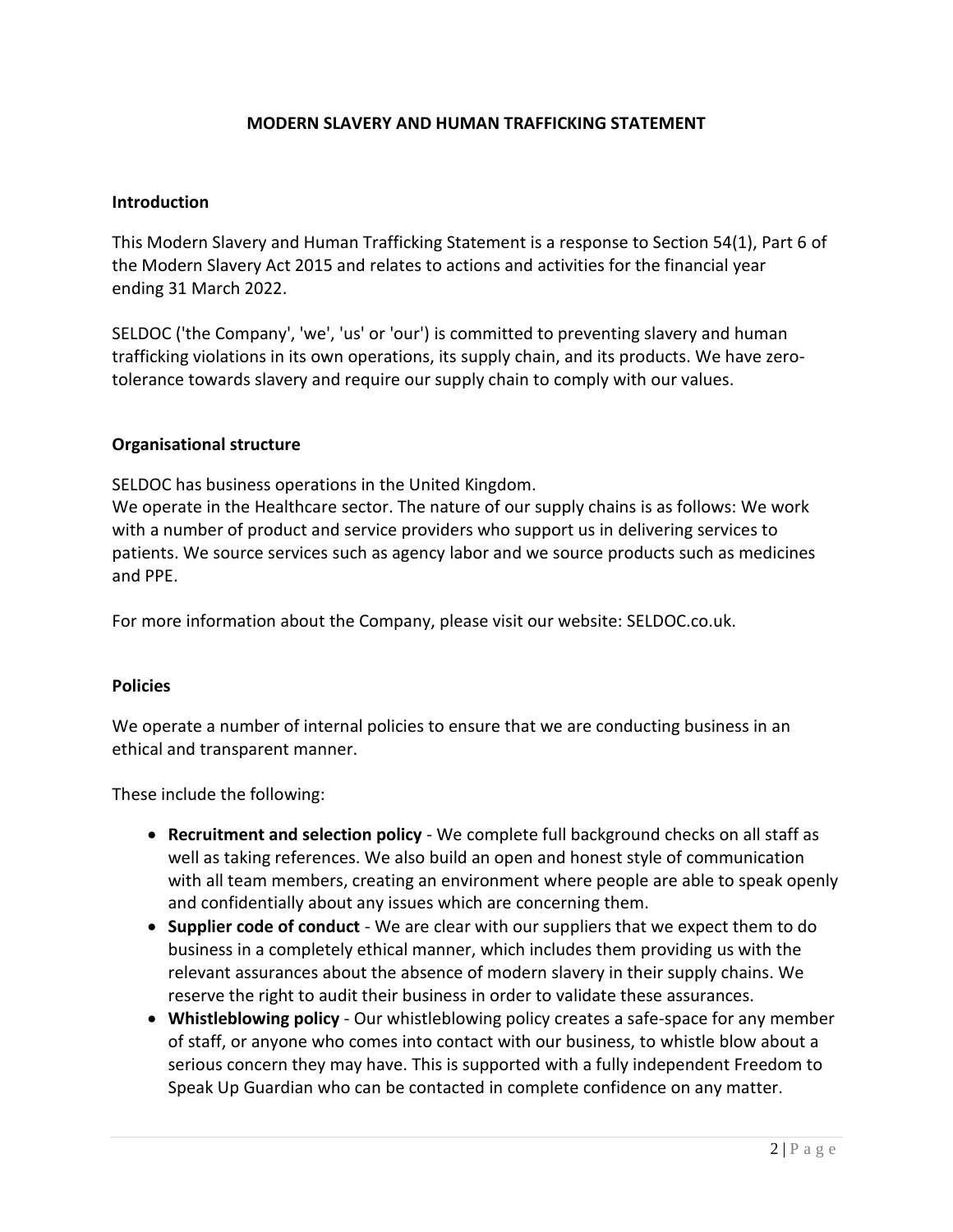## **MODERN SLAVERY AND HUMAN TRAFFICKING STATEMENT**

#### **Introduction**

This Modern Slavery and Human Trafficking Statement is a response to Section 54(1), Part 6 of the Modern Slavery Act 2015 and relates to actions and activities for the financial year ending 31 March 2022.

SELDOC ('the Company', 'we', 'us' or 'our') is committed to preventing slavery and human trafficking violations in its own operations, its supply chain, and its products. We have zerotolerance towards slavery and require our supply chain to comply with our values.

#### **Organisational structure**

SELDOC has business operations in the United Kingdom.

We operate in the Healthcare sector. The nature of our supply chains is as follows: We work with a number of product and service providers who support us in delivering services to patients. We source services such as agency labor and we source products such as medicines and PPE.

For more information about the Company, please visit our website: SELDOC.co.uk.

### **Policies**

We operate a number of internal policies to ensure that we are conducting business in an ethical and transparent manner.

These include the following:

- **Recruitment and selection policy** We complete full background checks on all staff as well as taking references. We also build an open and honest style of communication with all team members, creating an environment where people are able to speak openly and confidentially about any issues which are concerning them.
- **Supplier code of conduct** We are clear with our suppliers that we expect them to do business in a completely ethical manner, which includes them providing us with the relevant assurances about the absence of modern slavery in their supply chains. We reserve the right to audit their business in order to validate these assurances.
- **Whistleblowing policy** Our whistleblowing policy creates a safe-space for any member of staff, or anyone who comes into contact with our business, to whistle blow about a serious concern they may have. This is supported with a fully independent Freedom to Speak Up Guardian who can be contacted in complete confidence on any matter.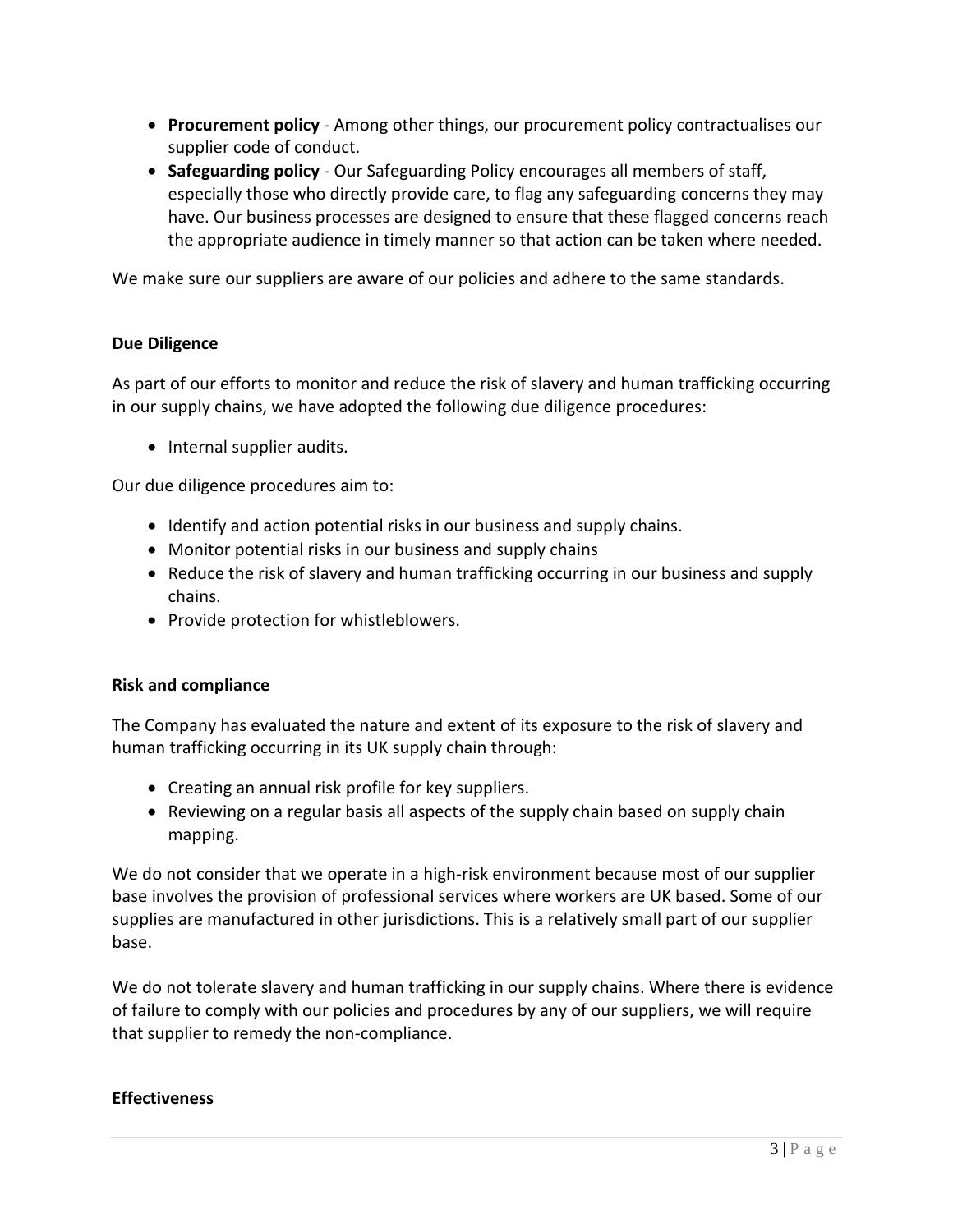- **Procurement policy** Among other things, our procurement policy contractualises our supplier code of conduct.
- **Safeguarding policy** Our Safeguarding Policy encourages all members of staff, especially those who directly provide care, to flag any safeguarding concerns they may have. Our business processes are designed to ensure that these flagged concerns reach the appropriate audience in timely manner so that action can be taken where needed.

We make sure our suppliers are aware of our policies and adhere to the same standards.

## **Due Diligence**

As part of our efforts to monitor and reduce the risk of slavery and human trafficking occurring in our supply chains, we have adopted the following due diligence procedures:

• Internal supplier audits.

Our due diligence procedures aim to:

- Identify and action potential risks in our business and supply chains.
- Monitor potential risks in our business and supply chains
- Reduce the risk of slavery and human trafficking occurring in our business and supply chains.
- Provide protection for whistleblowers.

### **Risk and compliance**

The Company has evaluated the nature and extent of its exposure to the risk of slavery and human trafficking occurring in its UK supply chain through:

- Creating an annual risk profile for key suppliers.
- Reviewing on a regular basis all aspects of the supply chain based on supply chain mapping.

We do not consider that we operate in a high-risk environment because most of our supplier base involves the provision of professional services where workers are UK based. Some of our supplies are manufactured in other jurisdictions. This is a relatively small part of our supplier base.

We do not tolerate slavery and human trafficking in our supply chains. Where there is evidence of failure to comply with our policies and procedures by any of our suppliers, we will require that supplier to remedy the non-compliance.

### **Effectiveness**